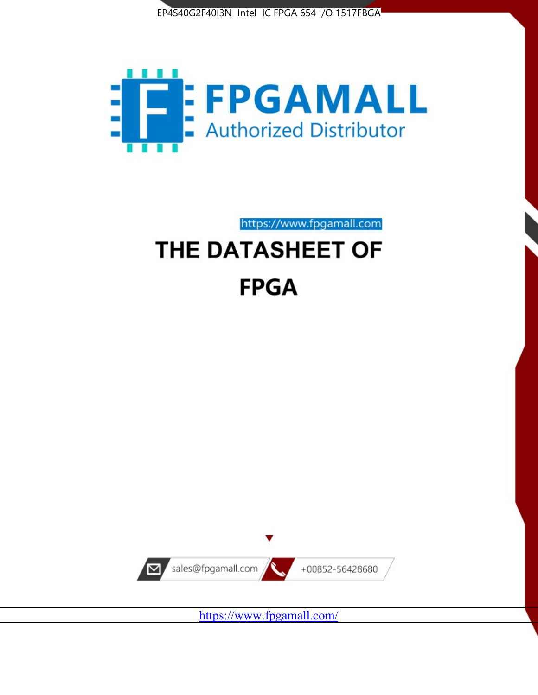



https://www.fpgamall.com

# THE DATASHEET OF **FPGA**



<https://www.fpgamall.com/>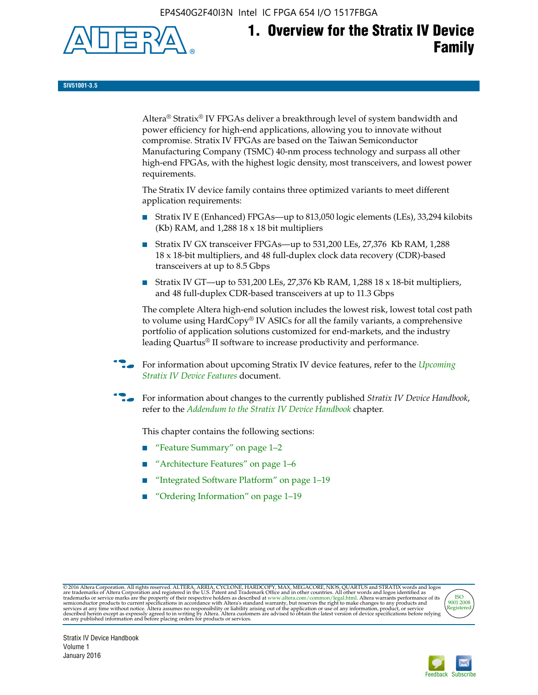EP4S40G2F40I3N Intel IC FPGA 654 I/O 1517FBGA



# **1. Overview for the Stratix IV Device Family**

**SIV51001-3.5**

Altera® Stratix® IV FPGAs deliver a breakthrough level of system bandwidth and power efficiency for high-end applications, allowing you to innovate without compromise. Stratix IV FPGAs are based on the Taiwan Semiconductor Manufacturing Company (TSMC) 40-nm process technology and surpass all other high-end FPGAs, with the highest logic density, most transceivers, and lowest power requirements.

The Stratix IV device family contains three optimized variants to meet different application requirements:

- Stratix IV E (Enhanced) FPGAs—up to 813,050 logic elements (LEs), 33,294 kilobits (Kb) RAM, and 1,288 18 x 18 bit multipliers
- Stratix IV GX transceiver FPGAs—up to 531,200 LEs, 27,376 Kb RAM, 1,288 18 x 18-bit multipliers, and 48 full-duplex clock data recovery (CDR)-based transceivers at up to 8.5 Gbps
- Stratix IV GT—up to 531,200 LEs, 27,376 Kb RAM, 1,288 18 x 18-bit multipliers, and 48 full-duplex CDR-based transceivers at up to 11.3 Gbps

The complete Altera high-end solution includes the lowest risk, lowest total cost path to volume using HardCopy® IV ASICs for all the family variants, a comprehensive portfolio of application solutions customized for end-markets, and the industry leading Quartus® II software to increase productivity and performance.

f For information about upcoming Stratix IV device features, refer to the *[Upcoming](http://www.altera.com/literature/hb/stratix-iv/uf01001.pdf?GSA_pos=2&WT.oss_r=1&WT.oss=upcoming)  [Stratix IV Device Features](http://www.altera.com/literature/hb/stratix-iv/uf01001.pdf?GSA_pos=2&WT.oss_r=1&WT.oss=upcoming)* document.

f For information about changes to the currently published *Stratix IV Device Handbook*, refer to the *[Addendum to the Stratix IV Device Handbook](http://www.altera.com/literature/hb/stratix-iv/stx4_siv54002.pdf)* chapter.

This chapter contains the following sections:

- "Feature Summary" on page 1–2
- "Architecture Features" on page 1–6
- "Integrated Software Platform" on page 1–19
- "Ordering Information" on page 1–19

@2016 Altera Corporation. All rights reserved. ALTERA, ARRIA, CYCLONE, HARDCOPY, MAX, MEGACORE, NIOS, QUARTUS and STRATIX words and logos are trademarks of Altera Corporation and registered in the U.S. Patent and Trademark



Stratix IV Device Handbook Volume 1 January 2016

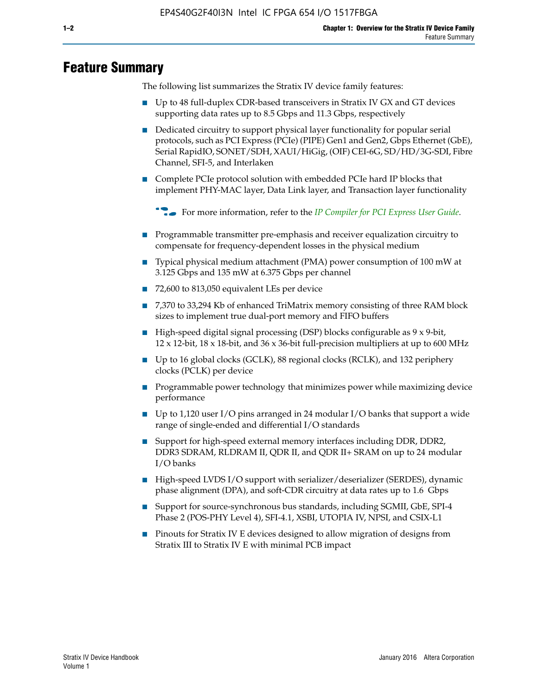# **Feature Summary**

The following list summarizes the Stratix IV device family features:

- Up to 48 full-duplex CDR-based transceivers in Stratix IV GX and GT devices supporting data rates up to 8.5 Gbps and 11.3 Gbps, respectively
- Dedicated circuitry to support physical layer functionality for popular serial protocols, such as PCI Express (PCIe) (PIPE) Gen1 and Gen2, Gbps Ethernet (GbE), Serial RapidIO, SONET/SDH, XAUI/HiGig, (OIF) CEI-6G, SD/HD/3G-SDI, Fibre Channel, SFI-5, and Interlaken
- Complete PCIe protocol solution with embedded PCIe hard IP blocks that implement PHY-MAC layer, Data Link layer, and Transaction layer functionality

**For more information, refer to the** *[IP Compiler for PCI Express User Guide](http://www.altera.com/literature/ug/ug_pci_express.pdf)***.** 

- Programmable transmitter pre-emphasis and receiver equalization circuitry to compensate for frequency-dependent losses in the physical medium
- Typical physical medium attachment (PMA) power consumption of 100 mW at 3.125 Gbps and 135 mW at 6.375 Gbps per channel
- 72,600 to 813,050 equivalent LEs per device
- 7,370 to 33,294 Kb of enhanced TriMatrix memory consisting of three RAM block sizes to implement true dual-port memory and FIFO buffers
- High-speed digital signal processing (DSP) blocks configurable as 9 x 9-bit,  $12 \times 12$ -bit,  $18 \times 18$ -bit, and  $36 \times 36$ -bit full-precision multipliers at up to 600 MHz
- Up to 16 global clocks (GCLK), 88 regional clocks (RCLK), and 132 periphery clocks (PCLK) per device
- Programmable power technology that minimizes power while maximizing device performance
- Up to 1,120 user I/O pins arranged in 24 modular I/O banks that support a wide range of single-ended and differential I/O standards
- Support for high-speed external memory interfaces including DDR, DDR2, DDR3 SDRAM, RLDRAM II, QDR II, and QDR II+ SRAM on up to 24 modular I/O banks
- High-speed LVDS I/O support with serializer/deserializer (SERDES), dynamic phase alignment (DPA), and soft-CDR circuitry at data rates up to 1.6 Gbps
- Support for source-synchronous bus standards, including SGMII, GbE, SPI-4 Phase 2 (POS-PHY Level 4), SFI-4.1, XSBI, UTOPIA IV, NPSI, and CSIX-L1
- Pinouts for Stratix IV E devices designed to allow migration of designs from Stratix III to Stratix IV E with minimal PCB impact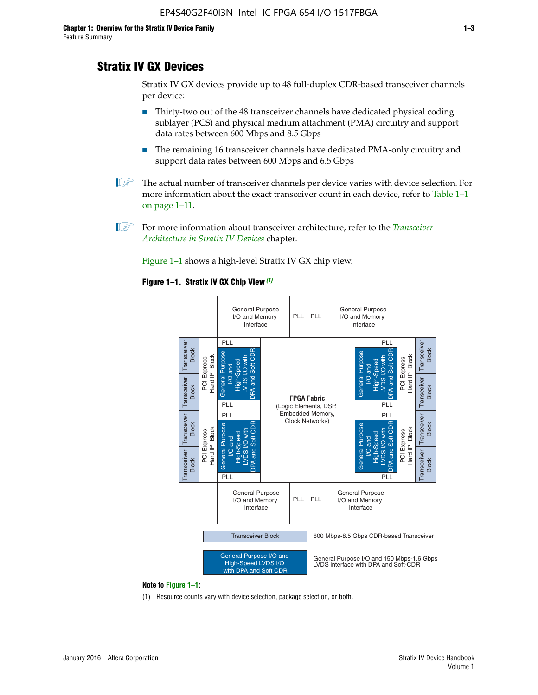# **Stratix IV GX Devices**

Stratix IV GX devices provide up to 48 full-duplex CDR-based transceiver channels per device:

- Thirty-two out of the 48 transceiver channels have dedicated physical coding sublayer (PCS) and physical medium attachment (PMA) circuitry and support data rates between 600 Mbps and 8.5 Gbps
- The remaining 16 transceiver channels have dedicated PMA-only circuitry and support data rates between 600 Mbps and 6.5 Gbps
- **1 The actual number of transceiver channels per device varies with device selection. For** more information about the exact transceiver count in each device, refer to Table 1–1 on page 1–11.
- 1 For more information about transceiver architecture, refer to the *[Transceiver](http://www.altera.com/literature/hb/stratix-iv/stx4_siv52001.pdf)  [Architecture in Stratix IV Devices](http://www.altera.com/literature/hb/stratix-iv/stx4_siv52001.pdf)* chapter.

Figure 1–1 shows a high-level Stratix IV GX chip view.

#### **Figure 1–1. Stratix IV GX Chip View** *(1)*



#### **Note to Figure 1–1:**

(1) Resource counts vary with device selection, package selection, or both.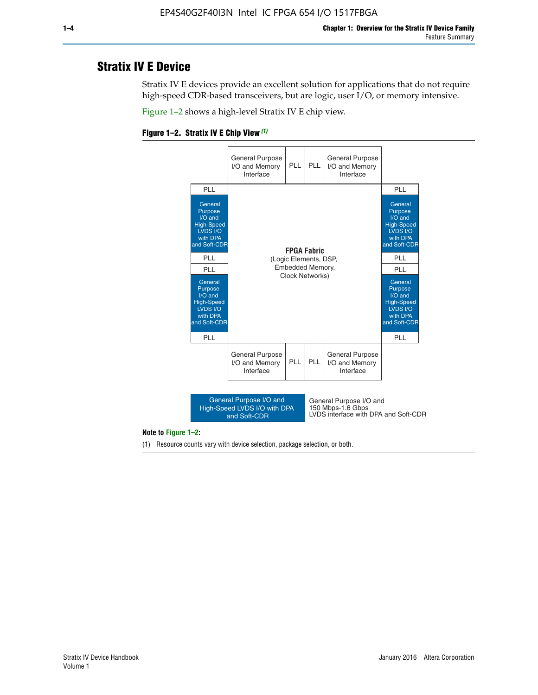# **Stratix IV E Device**

Stratix IV E devices provide an excellent solution for applications that do not require high-speed CDR-based transceivers, but are logic, user I/O, or memory intensive.

Figure 1–2 shows a high-level Stratix IV E chip view.





#### **Note to Figure 1–2:**

(1) Resource counts vary with device selection, package selection, or both.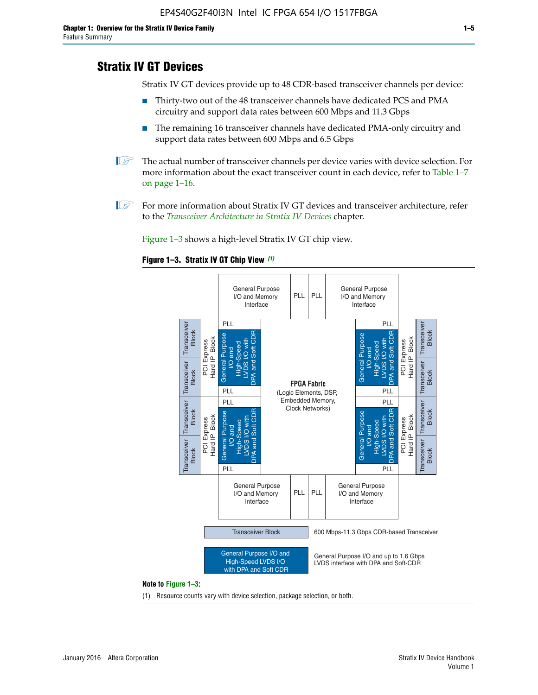# **Stratix IV GT Devices**

Stratix IV GT devices provide up to 48 CDR-based transceiver channels per device:

- Thirty-two out of the 48 transceiver channels have dedicated PCS and PMA circuitry and support data rates between 600 Mbps and 11.3 Gbps
- The remaining 16 transceiver channels have dedicated PMA-only circuitry and support data rates between 600 Mbps and 6.5 Gbps
- **1** The actual number of transceiver channels per device varies with device selection. For more information about the exact transceiver count in each device, refer to Table 1–7 on page 1–16.
- $\mathbb{I}$  For more information about Stratix IV GT devices and transceiver architecture, refer to the *[Transceiver Architecture in Stratix IV Devices](http://www.altera.com/literature/hb/stratix-iv/stx4_siv52001.pdf)* chapter.

Figure 1–3 shows a high-level Stratix IV GT chip view.





(1) Resource counts vary with device selection, package selection, or both.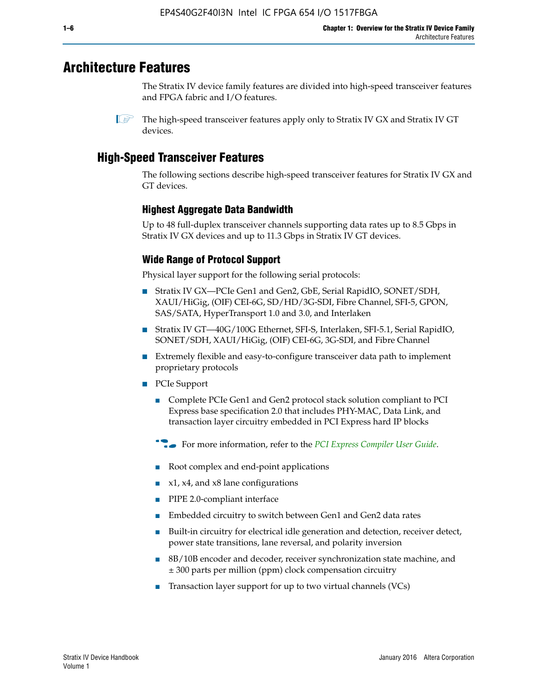# **Architecture Features**

The Stratix IV device family features are divided into high-speed transceiver features and FPGA fabric and I/O features.

 $\mathbb{I}$  The high-speed transceiver features apply only to Stratix IV GX and Stratix IV GT devices.

# **High-Speed Transceiver Features**

The following sections describe high-speed transceiver features for Stratix IV GX and GT devices.

### **Highest Aggregate Data Bandwidth**

Up to 48 full-duplex transceiver channels supporting data rates up to 8.5 Gbps in Stratix IV GX devices and up to 11.3 Gbps in Stratix IV GT devices.

### **Wide Range of Protocol Support**

Physical layer support for the following serial protocols:

- Stratix IV GX—PCIe Gen1 and Gen2, GbE, Serial RapidIO, SONET/SDH, XAUI/HiGig, (OIF) CEI-6G, SD/HD/3G-SDI, Fibre Channel, SFI-5, GPON, SAS/SATA, HyperTransport 1.0 and 3.0, and Interlaken
- Stratix IV GT—40G/100G Ethernet, SFI-S, Interlaken, SFI-5.1, Serial RapidIO, SONET/SDH, XAUI/HiGig, (OIF) CEI-6G, 3G-SDI, and Fibre Channel
- Extremely flexible and easy-to-configure transceiver data path to implement proprietary protocols
- PCIe Support
	- Complete PCIe Gen1 and Gen2 protocol stack solution compliant to PCI Express base specification 2.0 that includes PHY-MAC, Data Link, and transaction layer circuitry embedded in PCI Express hard IP blocks
	- **For more information, refer to the [PCI Express Compiler User Guide](http://www.altera.com/literature/ug/ug_pci_express.pdf).**
	- Root complex and end-point applications
	- $x1, x4,$  and  $x8$  lane configurations
	- PIPE 2.0-compliant interface
	- Embedded circuitry to switch between Gen1 and Gen2 data rates
	- Built-in circuitry for electrical idle generation and detection, receiver detect, power state transitions, lane reversal, and polarity inversion
	- 8B/10B encoder and decoder, receiver synchronization state machine, and ± 300 parts per million (ppm) clock compensation circuitry
	- Transaction layer support for up to two virtual channels (VCs)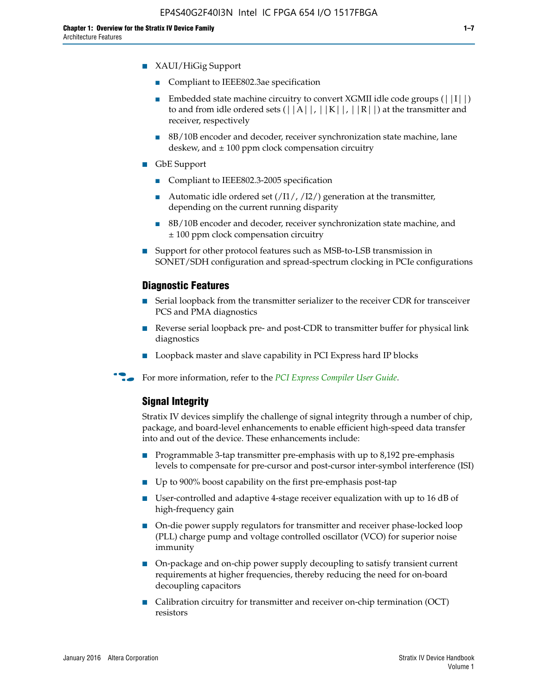- XAUI/HiGig Support
	- Compliant to IEEE802.3ae specification
	- **■** Embedded state machine circuitry to convert XGMII idle code groups  $(|11|)$ to and from idle ordered sets  $(|A|, |K|, |R|)$  at the transmitter and receiver, respectively
	- 8B/10B encoder and decoder, receiver synchronization state machine, lane deskew, and  $\pm 100$  ppm clock compensation circuitry
- GbE Support
	- Compliant to IEEE802.3-2005 specification
	- Automatic idle ordered set  $(111/112/1)$  generation at the transmitter, depending on the current running disparity
	- 8B/10B encoder and decoder, receiver synchronization state machine, and ± 100 ppm clock compensation circuitry
- Support for other protocol features such as MSB-to-LSB transmission in SONET/SDH configuration and spread-spectrum clocking in PCIe configurations

#### **Diagnostic Features**

- Serial loopback from the transmitter serializer to the receiver CDR for transceiver PCS and PMA diagnostics
- Reverse serial loopback pre- and post-CDR to transmitter buffer for physical link diagnostics
- Loopback master and slave capability in PCI Express hard IP blocks
- **For more information, refer to the** *[PCI Express Compiler User Guide](http://www.altera.com/literature/ug/ug_pci_express.pdf)***.**

#### **Signal Integrity**

Stratix IV devices simplify the challenge of signal integrity through a number of chip, package, and board-level enhancements to enable efficient high-speed data transfer into and out of the device. These enhancements include:

- Programmable 3-tap transmitter pre-emphasis with up to 8,192 pre-emphasis levels to compensate for pre-cursor and post-cursor inter-symbol interference (ISI)
- Up to 900% boost capability on the first pre-emphasis post-tap
- User-controlled and adaptive 4-stage receiver equalization with up to 16 dB of high-frequency gain
- On-die power supply regulators for transmitter and receiver phase-locked loop (PLL) charge pump and voltage controlled oscillator (VCO) for superior noise immunity
- On-package and on-chip power supply decoupling to satisfy transient current requirements at higher frequencies, thereby reducing the need for on-board decoupling capacitors
- Calibration circuitry for transmitter and receiver on-chip termination (OCT) resistors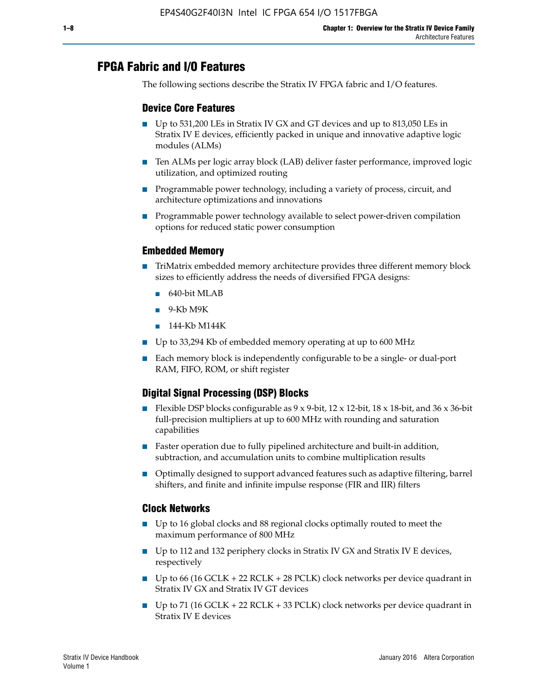# **FPGA Fabric and I/O Features**

The following sections describe the Stratix IV FPGA fabric and I/O features.

### **Device Core Features**

- Up to 531,200 LEs in Stratix IV GX and GT devices and up to 813,050 LEs in Stratix IV E devices, efficiently packed in unique and innovative adaptive logic modules (ALMs)
- Ten ALMs per logic array block (LAB) deliver faster performance, improved logic utilization, and optimized routing
- Programmable power technology, including a variety of process, circuit, and architecture optimizations and innovations
- Programmable power technology available to select power-driven compilation options for reduced static power consumption

#### **Embedded Memory**

- TriMatrix embedded memory architecture provides three different memory block sizes to efficiently address the needs of diversified FPGA designs:
	- 640-bit MLAB
	- 9-Kb M9K
	- 144-Kb M144K
- Up to 33,294 Kb of embedded memory operating at up to 600 MHz
- Each memory block is independently configurable to be a single- or dual-port RAM, FIFO, ROM, or shift register

### **Digital Signal Processing (DSP) Blocks**

- Flexible DSP blocks configurable as  $9 \times 9$ -bit,  $12 \times 12$ -bit,  $18 \times 18$ -bit, and  $36 \times 36$ -bit full-precision multipliers at up to 600 MHz with rounding and saturation capabilities
- Faster operation due to fully pipelined architecture and built-in addition, subtraction, and accumulation units to combine multiplication results
- Optimally designed to support advanced features such as adaptive filtering, barrel shifters, and finite and infinite impulse response (FIR and IIR) filters

#### **Clock Networks**

- Up to 16 global clocks and 88 regional clocks optimally routed to meet the maximum performance of 800 MHz
- Up to 112 and 132 periphery clocks in Stratix IV GX and Stratix IV E devices, respectively
- Up to 66 (16 GCLK + 22 RCLK + 28 PCLK) clock networks per device quadrant in Stratix IV GX and Stratix IV GT devices
- Up to 71 (16 GCLK + 22 RCLK + 33 PCLK) clock networks per device quadrant in Stratix IV E devices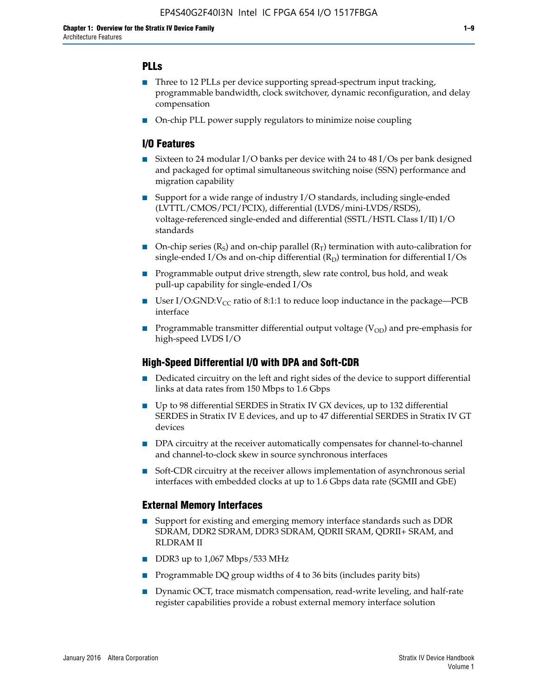### **PLLs**

- Three to 12 PLLs per device supporting spread-spectrum input tracking, programmable bandwidth, clock switchover, dynamic reconfiguration, and delay compensation
- On-chip PLL power supply regulators to minimize noise coupling

#### **I/O Features**

- Sixteen to 24 modular I/O banks per device with 24 to 48 I/Os per bank designed and packaged for optimal simultaneous switching noise (SSN) performance and migration capability
- Support for a wide range of industry I/O standards, including single-ended (LVTTL/CMOS/PCI/PCIX), differential (LVDS/mini-LVDS/RSDS), voltage-referenced single-ended and differential (SSTL/HSTL Class I/II) I/O standards
- **O**n-chip series  $(R_S)$  and on-chip parallel  $(R_T)$  termination with auto-calibration for single-ended I/Os and on-chip differential  $(R_D)$  termination for differential I/Os
- Programmable output drive strength, slew rate control, bus hold, and weak pull-up capability for single-ended I/Os
- User I/O:GND: $V_{CC}$  ratio of 8:1:1 to reduce loop inductance in the package—PCB interface
- **■** Programmable transmitter differential output voltage ( $V_{OD}$ ) and pre-emphasis for high-speed LVDS I/O

#### **High-Speed Differential I/O with DPA and Soft-CDR**

- Dedicated circuitry on the left and right sides of the device to support differential links at data rates from 150 Mbps to 1.6 Gbps
- Up to 98 differential SERDES in Stratix IV GX devices, up to 132 differential SERDES in Stratix IV E devices, and up to 47 differential SERDES in Stratix IV GT devices
- DPA circuitry at the receiver automatically compensates for channel-to-channel and channel-to-clock skew in source synchronous interfaces
- Soft-CDR circuitry at the receiver allows implementation of asynchronous serial interfaces with embedded clocks at up to 1.6 Gbps data rate (SGMII and GbE)

#### **External Memory Interfaces**

- Support for existing and emerging memory interface standards such as DDR SDRAM, DDR2 SDRAM, DDR3 SDRAM, QDRII SRAM, QDRII+ SRAM, and RLDRAM II
- DDR3 up to 1,067 Mbps/533 MHz
- Programmable DQ group widths of 4 to 36 bits (includes parity bits)
- Dynamic OCT, trace mismatch compensation, read-write leveling, and half-rate register capabilities provide a robust external memory interface solution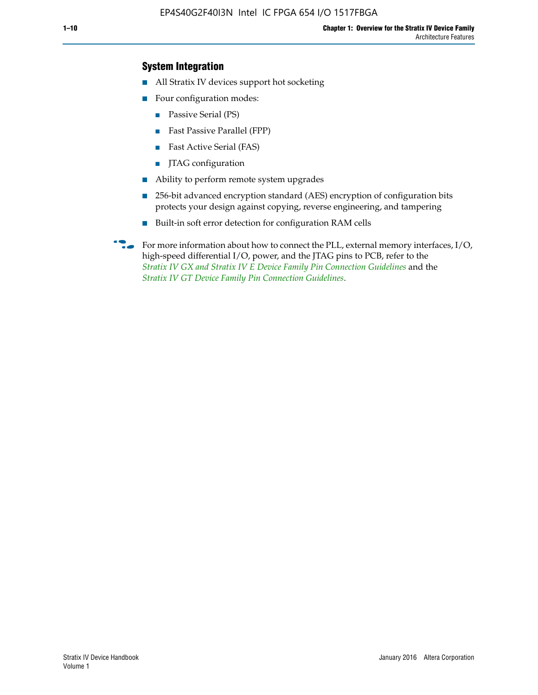### **System Integration**

- All Stratix IV devices support hot socketing
- Four configuration modes:
	- Passive Serial (PS)
	- Fast Passive Parallel (FPP)
	- Fast Active Serial (FAS)
	- JTAG configuration
- Ability to perform remote system upgrades
- 256-bit advanced encryption standard (AES) encryption of configuration bits protects your design against copying, reverse engineering, and tampering
- Built-in soft error detection for configuration RAM cells
- For more information about how to connect the PLL, external memory interfaces,  $I/O$ , high-speed differential I/O, power, and the JTAG pins to PCB, refer to the *[Stratix IV GX and Stratix IV E Device Family Pin Connection Guidelines](http://www.altera.com/literature/dp/stratix4/PCG-01005.pdf)* and the *[Stratix IV GT Device Family Pin Connection Guidelines](http://www.altera.com/literature/dp/stratix4/PCG-01006.pdf)*.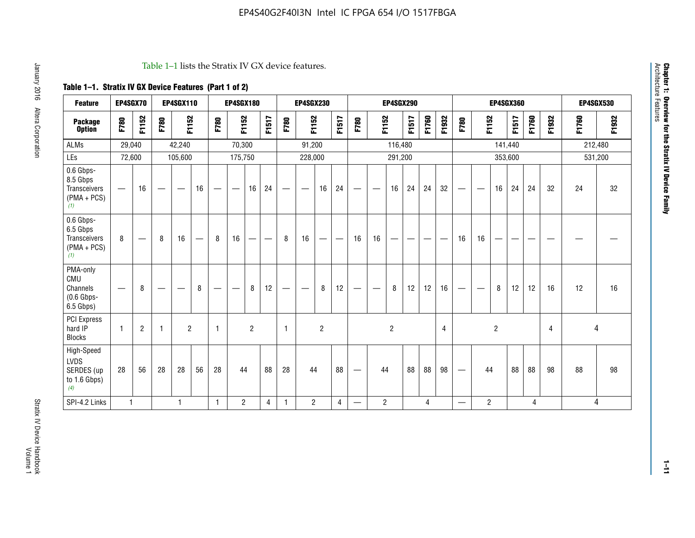#### Table 1–1 lists the Stratix IV GX device features.

## **Table 1–1. Stratix IV GX Device Features (Part 1 of 2)**

| <b>Feature</b>                                                       | EP4SGX70                       |                |                                  | <b>EP4SGX110</b> |    |                                | <b>EP4SGX180</b>               |                |       |              | <b>EP4SGX230</b>         |                          |                               |      |                | <b>EP4SGX290</b> |       |       |       |                          |                   |                | <b>EP4SGX360</b> |       |       | <b>EP4SGX530</b> |         |
|----------------------------------------------------------------------|--------------------------------|----------------|----------------------------------|------------------|----|--------------------------------|--------------------------------|----------------|-------|--------------|--------------------------|--------------------------|-------------------------------|------|----------------|------------------|-------|-------|-------|--------------------------|-------------------|----------------|------------------|-------|-------|------------------|---------|
| <b>Package</b><br><b>Option</b>                                      | F780                           | F1152          | F780                             | F1152            |    | F780                           | F1152                          |                | F1517 | F780         | F1152                    |                          | F1517                         | F780 | F1152          |                  | F1517 | F1760 | F1932 | F780                     | F1152             |                | F1517            | F1760 | F1932 | F1760            | F1932   |
| ALMs                                                                 | 29,040                         |                |                                  | 42,240           |    |                                | 70,300                         |                |       |              | 91,200                   |                          |                               |      |                | 116,480          |       |       |       |                          |                   |                | 141,440          |       |       | 212,480          |         |
| LEs                                                                  | 72,600                         |                |                                  | 105,600          |    |                                | 175,750                        |                |       |              | 228,000                  |                          |                               |      |                | 291,200          |       |       |       |                          |                   |                | 353,600          |       |       |                  | 531,200 |
| 0.6 Gbps-<br>8.5 Gbps<br>Transceivers<br>$(PMA + PCs)$<br>(1)        | $\overline{\phantom{0}}$       | 16             |                                  |                  | 16 |                                | $\qquad \qquad \longleftarrow$ | 16             | 24    |              |                          | 16                       | 24                            |      |                | 16               | 24    | 24    | 32    | $\overline{\phantom{0}}$ |                   | 16             | 24               | 24    | 32    | 24               | 32      |
| 0.6 Gbps-<br>6.5 Gbps<br><b>Transceivers</b><br>$(PMA + PCs)$<br>(1) | 8                              |                | 8                                | 16               | –  | 8                              | 16                             | -              |       | 8            | 16                       | $\overline{\phantom{0}}$ | $\overbrace{\phantom{aaaaa}}$ | 16   | 16             |                  | -     |       |       | 16                       | 16                |                |                  |       |       |                  |         |
| PMA-only<br>CMU<br>Channels<br>$(0.6$ Gbps-<br>6.5 Gbps)             | $\qquad \qquad \longleftarrow$ | 8              | $\overbrace{\phantom{12322111}}$ |                  | 8  | $\qquad \qquad \longleftarrow$ |                                | 8              | 12    | -            | $\overline{\phantom{a}}$ | 8                        | 12                            |      |                | 8                | 12    | 12    | 16    | $\overline{\phantom{0}}$ | $\hspace{0.05cm}$ | 8              | 12               | 12    | 16    | 12               | 16      |
| PCI Express<br>hard IP<br><b>Blocks</b>                              | $\mathbf{1}$                   | $\overline{2}$ |                                  | $\overline{2}$   |    | 1                              |                                | $\overline{2}$ |       | $\mathbf{1}$ |                          | $\overline{c}$           |                               |      |                | $\overline{c}$   |       |       | 4     |                          |                   | $\overline{2}$ |                  |       | 4     |                  | 4       |
| High-Speed<br>LVDS<br>SERDES (up<br>to 1.6 Gbps)<br>(4)              | 28                             | 56             | 28                               | 28               | 56 | 28                             | 44                             |                | 88    | 28           | 44                       |                          | 88                            | —    | 44             |                  | 88    | 88    | 98    |                          | 44                |                | 88               | 88    | 98    | 88               | 98      |
| SPI-4.2 Links                                                        | $\mathbf{1}$                   |                |                                  | 1                |    | $\mathbf{1}$                   | $\overline{c}$                 |                | 4     | 1            | $\overline{c}$           |                          | $\overline{4}$                | —    | $\overline{2}$ |                  |       | 4     |       | $\overline{\phantom{0}}$ | $\overline{2}$    |                |                  | 4     |       |                  | 4       |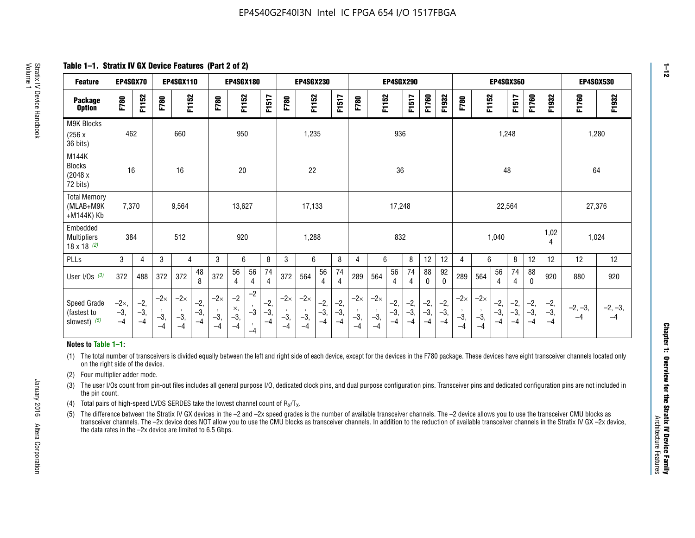**Table 1–1. Stratix IV GX Device Features (Part 2 of 2)**

| <b>Feature</b>                                       | EP4SGX70                |                        |                             | <b>EP4SGX110</b>            |                      |                             | <b>EP4SGX180</b>          |                                              |                        |                             | <b>EP4SGX230</b>            |                        |                      |                             |                             | EP4SGX290              |                      |                        |                        | <b>EP4SGX360</b>            |                             |                        | <b>EP4SGX530</b>     |                        |                        |                   |                   |
|------------------------------------------------------|-------------------------|------------------------|-----------------------------|-----------------------------|----------------------|-----------------------------|---------------------------|----------------------------------------------|------------------------|-----------------------------|-----------------------------|------------------------|----------------------|-----------------------------|-----------------------------|------------------------|----------------------|------------------------|------------------------|-----------------------------|-----------------------------|------------------------|----------------------|------------------------|------------------------|-------------------|-------------------|
| <b>Package</b><br><b>Option</b>                      | F780                    | F1152                  | F780                        | F1152                       |                      | F780                        | F1152                     |                                              | F1517                  | F780                        | F1152                       |                        | F1517                | F780                        | F1152                       |                        | F1517                | F1760                  | F1932                  | F780                        | F1152                       |                        | F1517                | F1760                  | F1932                  | F1760             | F1932             |
| M9K Blocks<br>(256x)<br>36 bits)                     | 462                     |                        |                             | 660                         |                      |                             | 950                       |                                              |                        |                             | 1,235                       |                        |                      |                             |                             | 936                    |                      |                        |                        |                             |                             | 1,248                  |                      |                        |                        | 1,280             |                   |
| M144K<br>Blocks<br>(2048 x<br>72 bits)               | 16                      |                        |                             | 16                          |                      |                             | 20                        |                                              |                        |                             | 22                          |                        |                      |                             |                             | 36                     |                      |                        |                        |                             |                             | 48                     |                      |                        |                        | 64                |                   |
| <b>Total Memory</b><br>(MLAB+M9K<br>+M144K) Kb       | 7,370                   |                        |                             | 9,564                       |                      |                             | 13,627                    |                                              |                        |                             | 17,133                      |                        |                      |                             |                             | 17,248                 |                      |                        |                        |                             |                             | 22,564                 |                      |                        |                        | 27,376            |                   |
| Embedded<br><b>Multipliers</b><br>$18 \times 18$ (2) | 384                     |                        |                             | 512                         |                      |                             | 920                       |                                              |                        |                             | 1,288                       |                        |                      |                             |                             | 832                    |                      |                        |                        |                             |                             | 1,040                  |                      |                        | 1,02<br>4              | 1,024             |                   |
| PLLs                                                 | 3                       | 4                      | 3                           | 4                           |                      | 3                           | 6                         |                                              | 8                      | 3                           | 6                           |                        | 8                    | 4                           | 6                           |                        | 8                    | 12                     | 12                     | 4                           | 6                           |                        | 8                    | 12                     | 12                     | 12                | 12                |
| User I/Os $(3)$                                      | 372                     | 488                    | 372                         | 372                         | 48<br>8              | 372                         | 56<br>4                   | 56<br>4                                      | 74<br>$\overline{4}$   | 372                         | 564                         | 56<br>4                | 74<br>$\overline{4}$ | 289                         | 564                         | 56<br>4                | 74<br>4              | 88<br>0                | 92<br>$\mathbf 0$      | 289                         | 564                         | 56<br>4                | 74<br>4              | 88<br>0                | 920                    | 880               | 920               |
| Speed Grade<br>(fastest to<br>slowest) (5)           | $-2x,$<br>$-3,$<br>$-4$ | $-2,$<br>$-3,$<br>$-4$ | $-2\times$<br>$-3,$<br>$-4$ | $-2\times$<br>$-3,$<br>$-4$ | $-2,$<br>-3,<br>$-4$ | $-2\times$<br>$-3,$<br>$-4$ | $-2$<br>×,<br>$-3,$<br>-4 | $-2$<br>$\,$<br>$-3$<br>$\mathbf{r}$<br>$-4$ | $-2,$<br>$-3,$<br>$-4$ | $-2\times$<br>$-3,$<br>$-4$ | $-2\times$<br>$-3,$<br>$-4$ | $-2,$<br>$-3,$<br>$-4$ | $-2,$<br>-3,<br>$-4$ | $-2\times$<br>$-3,$<br>$-4$ | $-2\times$<br>$-3,$<br>$-4$ | $-2,$<br>$-3,$<br>$-4$ | $-2,$<br>-3,<br>$-4$ | $-2,$<br>$-3,$<br>$-4$ | $-2,$<br>$-3,$<br>$-4$ | $-2\times$<br>$-3,$<br>$-4$ | $-2\times$<br>$-3,$<br>$-4$ | $-2,$<br>$-3,$<br>$-4$ | $-2,$<br>-3,<br>$-4$ | $-2,$<br>$-3,$<br>$-4$ | $-2,$<br>$-3,$<br>$-4$ | $-2, -3,$<br>$-4$ | $-2, -3,$<br>$-4$ |

#### **Notes to Table 1–1:**

(1) The total number of transceivers is divided equally between the left and right side of each device, except for the devices in the F780 package. These devices have eight transceiver channels located only on the right side of the device.

- (2) Four multiplier adder mode.
- (3) The user I/Os count from pin-out files includes all general purpose I/O, dedicated clock pins, and dual purpose configuration pins. Transceiver pins and dedicated configuration pins are not included in the pin count.
- (4) Total pairs of high-speed LVDS SERDES take the lowest channel count of  $R_X/T_X$ .
- (5) The difference between the Stratix IV GX devices in the –2 and –2x speed grades is the number of available transceiver channels. The –2 device allows you to use the transceiver CMU blocks as transceiver channels. The –2x device does NOT allow you to use the CMU blocks as transceiver channels. In addition to the reduction of available transceiver channels in the Stratix IV GX –2x device, the data rates in the –2x device are limited to 6.5 Gbps.

January 2016 Altera Corporation

Altera Corporation

January 2016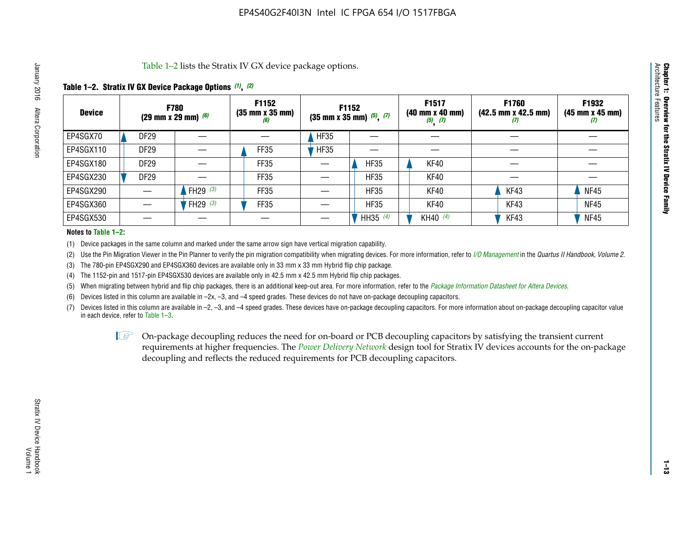Table 1–2 lists the Stratix IV GX device package options.

#### **Table 1–2. Stratix IV GX Device Package Options** *(1)***,** *(2)*

| <b>Device</b> |                  | <b>F780</b><br>(29 mm x 29 mm) $(6)$ | F1152<br>$(35 \, \text{mm} \times 35 \, \text{mm})$<br>(6) |             | <b>F1152</b><br>$(35 \text{ mm} \times 35 \text{ mm})$ $(5)$ , $(7)$ | F1517<br>(40 mm x 40 mm)<br>$(5)$ $(7)$ | <b>F1760</b><br>$(42.5 \text{ mm} \times 42.5 \text{ mm})$<br>Ш | F1932<br>(45 mm x 45 mm)<br>(7) |
|---------------|------------------|--------------------------------------|------------------------------------------------------------|-------------|----------------------------------------------------------------------|-----------------------------------------|-----------------------------------------------------------------|---------------------------------|
| EP4SGX70      | <b>DF29</b>      |                                      |                                                            | <b>HF35</b> |                                                                      |                                         |                                                                 |                                 |
| EP4SGX110     | DF <sub>29</sub> |                                      | FF35                                                       | <b>HF35</b> |                                                                      |                                         |                                                                 |                                 |
| EP4SGX180     | DF29             |                                      | FF35                                                       |             | <b>HF35</b>                                                          | KF40                                    |                                                                 |                                 |
| EP4SGX230     | DF <sub>29</sub> |                                      | FF35                                                       |             | <b>HF35</b>                                                          | KF40                                    |                                                                 |                                 |
| EP4SGX290     |                  | FH29 $(3)$                           | FF35                                                       |             | <b>HF35</b>                                                          | KF40                                    | KF43                                                            | <b>NF45</b>                     |
| EP4SGX360     |                  | FH29 $(3)$                           | FF35                                                       |             | <b>HF35</b>                                                          | KF40                                    | KF43                                                            | <b>NF45</b>                     |
| EP4SGX530     |                  |                                      |                                                            |             | HH35 (4)                                                             | KH40 (4)                                | KF43                                                            | <b>NF45</b>                     |

#### **Notes to Table 1–2:**

(1) Device packages in the same column and marked under the same arrow sign have vertical migration capability.

(2) Use the Pin Migration Viewer in the Pin Planner to verify the pin migration compatibility when migrating devices. For more information, refer to *[I/O Management](http://www.altera.com/literature/hb/qts/qts_qii52013.pdf)* in the *Quartus II Handbook, Volume 2*.

(3) The 780-pin EP4SGX290 and EP4SGX360 devices are available only in 33 mm x 33 mm Hybrid flip chip package.

(4) The 1152-pin and 1517-pin EP4SGX530 devices are available only in 42.5 mm x 42.5 mm Hybrid flip chip packages.

(5) When migrating between hybrid and flip chip packages, there is an additional keep-out area. For more information, refer to the *[Package Information Datasheet for Altera Devices](http://www.altera.com/literature/ds/dspkg.pdf)*.

(6) Devices listed in this column are available in –2x, –3, and –4 speed grades. These devices do not have on-package decoupling capacitors.

(7) Devices listed in this column are available in –2, –3, and –4 speed grades. These devices have on-package decoupling capacitors. For more information about on-package decoupling capacitor value in each device, refer to Table 1–3.

 $\mathbb{D}$  On-package decoupling reduces the need for on-board or PCB decoupling capacitors by satisfying the transient current requirements at higher frequencies. The *[Power Delivery Network](http://www.altera.com/literature/ug/pdn_tool_stxiv.zip)* design tool for Stratix IV devices accounts for the on-package decoupling and reflects the reduced requirements for PCB decoupling capacitors.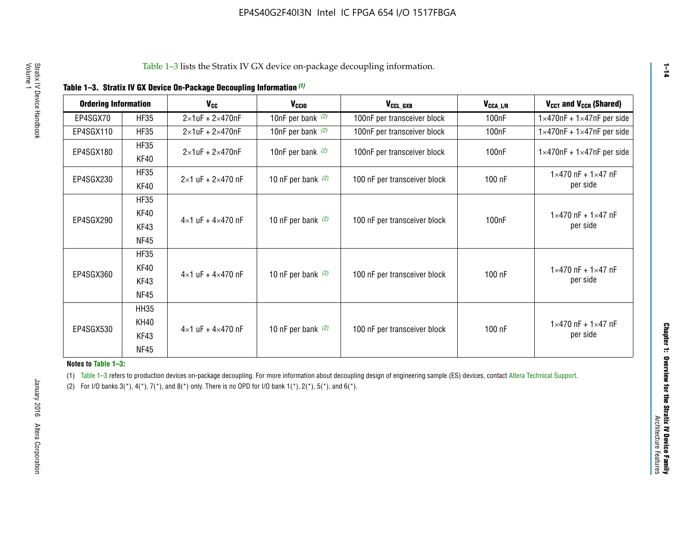| <b>Ordering Information</b> |                            | <b>V<sub>cc</sub></b>               | V <sub>ccio</sub>    | V <sub>CCL GXB</sub>         | V <sub>CCA_L/R</sub> | V <sub>CCT</sub> and V <sub>CCR</sub> (Shared)   |
|-----------------------------|----------------------------|-------------------------------------|----------------------|------------------------------|----------------------|--------------------------------------------------|
| EP4SGX70                    | <b>HF35</b>                | $2\times1$ uF + $2\times470$ nF     | 10nF per bank $(2)$  | 100nF per transceiver block  | 100 <sub>n</sub> F   | $1 \times 470$ nF + $1 \times 47$ nF per side    |
| EP4SGX110                   | <b>HF35</b>                | $2\times1$ uF + $2\times470$ nF     | 10nF per bank $(2)$  | 100nF per transceiver block  | 100 <sub>n</sub> F   | $1\times470$ nF + $1\times47$ nF per side        |
| EP4SGX180                   | <b>HF35</b><br>KF40        | $2\times1$ uF + $2\times470$ nF     | 10nF per bank $(2)$  | 100nF per transceiver block  | 100 <sub>nF</sub>    | $1 \times 470$ nF + $1 \times 47$ nF per side    |
| EP4SGX230                   | <b>HF35</b><br>KF40        | $2 \times 1$ uF + $2 \times 470$ nF | 10 nF per bank $(2)$ | 100 nF per transceiver block | 100 nF               | $1 \times 470$ nF + $1 \times 47$ nF<br>per side |
| EP4SGX290                   | <b>HF35</b><br><b>KF40</b> |                                     |                      |                              |                      | $1 \times 470$ nF + $1 \times 47$ nF             |
|                             | KF43<br><b>NF45</b>        | $4 \times 1$ uF + $4 \times 470$ nF | 10 nF per bank $(2)$ | 100 nF per transceiver block | 100nF                | per side                                         |
|                             | <b>HF35</b><br>KF40        |                                     |                      |                              |                      | $1 \times 470$ nF + $1 \times 47$ nF             |
| EP4SGX360                   | KF43<br><b>NF45</b>        | $4 \times 1$ uF + $4 \times 470$ nF | 10 nF per bank $(2)$ | 100 nF per transceiver block | 100 nF               | per side                                         |
|                             | <b>HH35</b>                |                                     |                      |                              |                      |                                                  |
| EP4SGX530                   | <b>KH40</b><br>KF43        | $4 \times 1$ uF + $4 \times 470$ nF | 10 nF per bank $(2)$ | 100 nF per transceiver block | 100 nF               | $1 \times 470$ nF + $1 \times 47$ nF<br>per side |
|                             | <b>NF45</b>                |                                     |                      |                              |                      |                                                  |

**Notes to Table 1–3:**

(1) Table 1-3 refers to production devices on-package decoupling. For more information about decoupling design of engineering sample (ES) devices, contact [Altera Technical Support](http://mysupport.altera.com/eservice/login.asp).

(2) For I/O banks  $3(*)$ ,  $4(*)$ ,  $7(*)$ , and  $8(*)$  only. There is no OPD for I/O bank  $1(*)$ ,  $2(*)$ ,  $5(*)$ , and  $6(*)$ .

**1–14**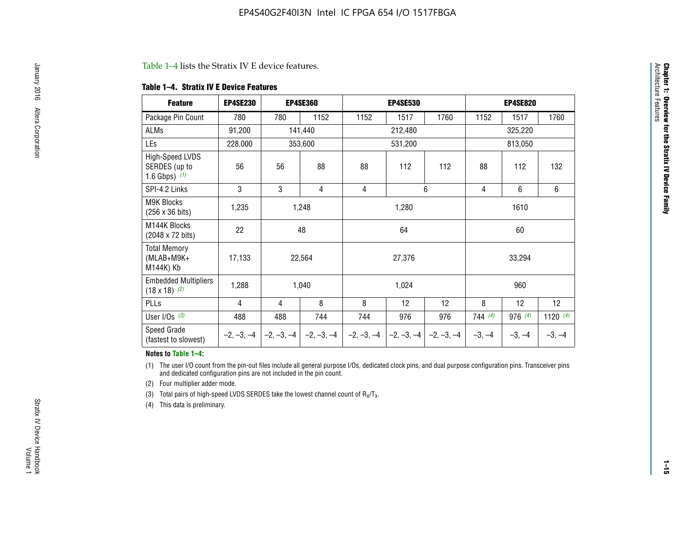#### Table 1–4 lists the Stratix IV E device features.

#### **Table 1–4. Stratix IV E Device Features**

| <b>Feature</b>                                      | <b>EP4SE230</b> |     | <b>EP4SE360</b>                          |              | <b>EP4SE530</b> |              |                | <b>EP4SE820</b> |                 |  |
|-----------------------------------------------------|-----------------|-----|------------------------------------------|--------------|-----------------|--------------|----------------|-----------------|-----------------|--|
| Package Pin Count                                   | 780             | 780 | 1152                                     | 1152         | 1517            | 1760         | 1152           | 1517            | 1760            |  |
| ALMs                                                | 91,200          |     | 141,440                                  |              | 212,480         |              |                | 325,220         |                 |  |
| LEs                                                 | 228,000         |     | 353,600                                  |              | 531,200         |              |                | 813,050         |                 |  |
| High-Speed LVDS<br>SERDES (up to<br>1.6 Gbps) $(1)$ | 56              | 56  | 88                                       | 88           | 112             | 112          | 88             | 112             | 132             |  |
| SPI-4.2 Links                                       | 3               | 3   | 4                                        | 4            |                 | 6            | $\overline{4}$ | 6               | 6               |  |
| M9K Blocks<br>(256 x 36 bits)                       | 1,235           |     | 1,248                                    |              | 1,280           |              |                | 1610            |                 |  |
| M144K Blocks<br>(2048 x 72 bits)                    | 22              |     | 48                                       |              | 64              |              | 60             |                 |                 |  |
| <b>Total Memory</b><br>(MLAB+M9K+<br>M144K) Kb      | 17,133          |     | 22,564                                   |              | 27,376          |              |                | 33,294          |                 |  |
| <b>Embedded Multipliers</b><br>$(18 \times 18)$ (2) | 1,288           |     | 1,040                                    |              | 1,024           |              |                | 960             |                 |  |
| PLLs                                                | 4               | 4   | 8                                        | 8            | 12              | 12           | 8              | 12              | 12 <sup>2</sup> |  |
| User I/Os $(3)$                                     | 488             | 488 | 744                                      | 744          | 976             | 976          | 744(4)         | 976 (4)         | 1120 $(4)$      |  |
| Speed Grade<br>(fastest to slowest)                 |                 |     | $-2, -3, -4$ $ -2, -3, -4$ $ -2, -3, -4$ | $-2, -3, -4$ | $-2, -3, -4$    | $-2, -3, -4$ | $-3, -4$       | $-3, -4$        | $-3, -4$        |  |

#### **Notes to Table 1–4:**

(1) The user I/O count from the pin-out files include all general purpose I/Os, dedicated clock pins, and dual purpose configuration pins. Transceiver pins and dedicated configuration pins are not included in the pin count.

(2) Four multiplier adder mode.

(3) Total pairs of high-speed LVDS SERDES take the lowest channel count of  $R_X/T_X$ .

(4) This data is preliminary.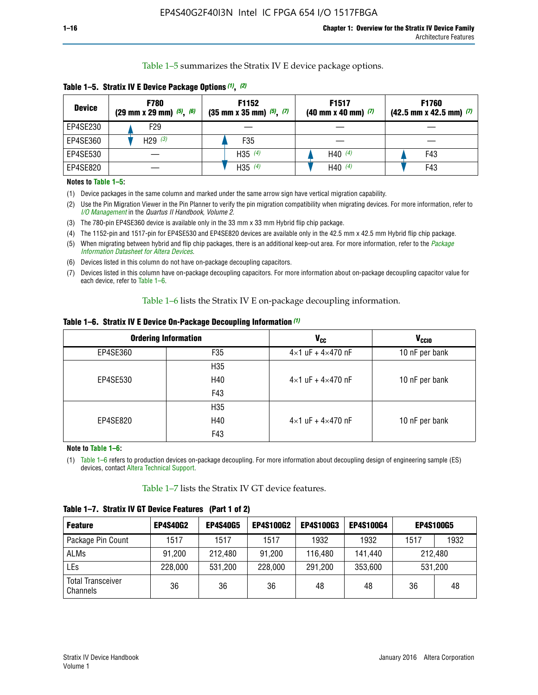Table 1–5 summarizes the Stratix IV E device package options.

| <b>Device</b> | <b>F780</b><br>$(29 \text{ mm} \times 29 \text{ mm})$ $(5)$ , $(6)$ | F1152<br>$(35 \text{ mm} \times 35 \text{ mm})$ $(5)$ , $(7)$ | F <sub>1517</sub><br>$(40 \text{ mm} \times 40 \text{ mm})$ (7) | <b>F1760</b><br>$(42.5$ mm x 42.5 mm) $(7)$ |  |  |
|---------------|---------------------------------------------------------------------|---------------------------------------------------------------|-----------------------------------------------------------------|---------------------------------------------|--|--|
| EP4SE230      | F29                                                                 |                                                               |                                                                 |                                             |  |  |
| EP4SE360      | H29 $(3)$                                                           | F35                                                           |                                                                 |                                             |  |  |
| EP4SE530      |                                                                     | H35 $(4)$                                                     | H40 $(4)$                                                       | F43                                         |  |  |
| EP4SE820      |                                                                     | H35 $(4)$                                                     | H40 $(4)$                                                       | F43                                         |  |  |

**Table 1–5. Stratix IV E Device Package Options** *(1)***,** *(2)*

#### **Notes to Table 1–5:**

(1) Device packages in the same column and marked under the same arrow sign have vertical migration capability.

(2) Use the Pin Migration Viewer in the Pin Planner to verify the pin migration compatibility when migrating devices. For more information, refer to *[I/O Management](http://www.altera.com/literature/hb/qts/qts_qii52013.pdf)* in the *Quartus II Handbook, Volume 2*.

(3) The 780-pin EP4SE360 device is available only in the 33 mm x 33 mm Hybrid flip chip package.

(4) The 1152-pin and 1517-pin for EP4SE530 and EP4SE820 devices are available only in the 42.5 mm x 42.5 mm Hybrid flip chip package.

(5) When migrating between hybrid and flip chip packages, there is an additional keep-out area. For more information, refer to the *[Package](http://www.altera.com/literature/ds/dspkg.pdf)  [Information Datasheet for Altera Devices](http://www.altera.com/literature/ds/dspkg.pdf)*.

(6) Devices listed in this column do not have on-package decoupling capacitors.

(7) Devices listed in this column have on-package decoupling capacitors. For more information about on-package decoupling capacitor value for each device, refer to Table 1–6.

Table 1–6 lists the Stratix IV E on-package decoupling information.

| Table 1–6. Stratix IV E Device On-Package Decoupling Information (1) |  |  |  |  |  |
|----------------------------------------------------------------------|--|--|--|--|--|
|----------------------------------------------------------------------|--|--|--|--|--|

|          | <b>Ordering Information</b> | V <sub>cc</sub>                     | <b>V<sub>CCIO</sub></b> |
|----------|-----------------------------|-------------------------------------|-------------------------|
| EP4SE360 | F <sub>35</sub>             | $4 \times 1$ uF + $4 \times 470$ nF | 10 nF per bank          |
|          | H35                         |                                     |                         |
| EP4SE530 | H40                         | $4\times1$ uF + $4\times470$ nF     | 10 nF per bank          |
|          | F43                         |                                     |                         |
|          | H35                         |                                     |                         |
| EP4SE820 | H40                         | $4\times1$ uF + $4\times470$ nF     | 10 nF per bank          |
|          | F43                         |                                     |                         |

**Note to Table 1–6:**

(1) Table 1–6 refers to production devices on-package decoupling. For more information about decoupling design of engineering sample (ES) devices, contact [Altera Technical Support](http://mysupport.altera.com/eservice/login.asp).

Table 1–7 lists the Stratix IV GT device features.

| <b>Feature</b>                       | <b>EP4S40G2</b> | <b>EP4S40G5</b> | <b>EP4S100G2</b> | <b>EP4S100G3</b> | <b>EP4S100G4</b> | <b>EP4S100G5</b> |         |
|--------------------------------------|-----------------|-----------------|------------------|------------------|------------------|------------------|---------|
| Package Pin Count                    | 1517            | 1517            | 1517             | 1932             | 1932             | 1517             | 1932    |
| <b>ALMs</b>                          | 91,200          | 212,480         | 91,200           | 116,480          | 141,440          | 212.480          |         |
| LEs                                  | 228,000         | 531,200         | 228,000          | 291,200          | 353,600          |                  | 531,200 |
| <b>Total Transceiver</b><br>Channels | 36              | 36              | 36               | 48               | 48               | 36               | 48      |

**Table 1–7. Stratix IV GT Device Features (Part 1 of 2)**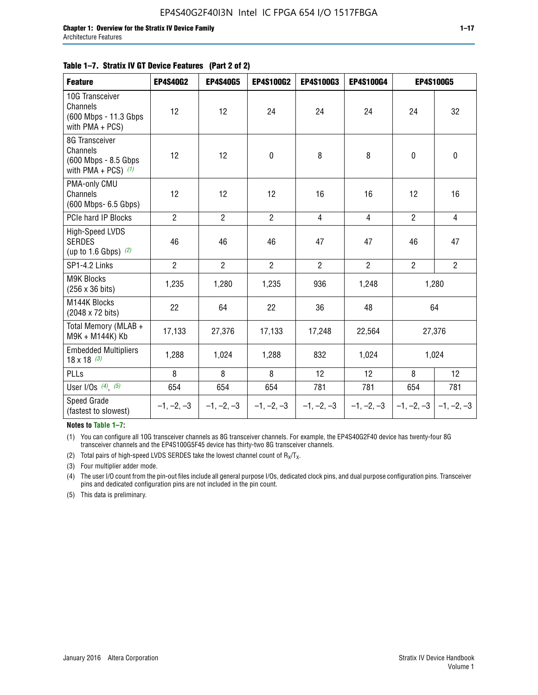#### **Table 1–7. Stratix IV GT Device Features (Part 2 of 2)**

| <b>Feature</b>                                                              | <b>EP4S40G2</b> | <b>EP4S40G5</b> | <b>EP4S100G2</b> | <b>EP4S100G3</b> | <b>EP4S100G4</b> |                | <b>EP4S100G5</b>          |
|-----------------------------------------------------------------------------|-----------------|-----------------|------------------|------------------|------------------|----------------|---------------------------|
| 10G Transceiver<br>Channels<br>(600 Mbps - 11.3 Gbps<br>with PMA + PCS)     | 12              | 12              | 24               | 24               | 24               | 24             | 32                        |
| 8G Transceiver<br>Channels<br>(600 Mbps - 8.5 Gbps<br>with PMA + PCS) $(1)$ | 12              | 12              | $\pmb{0}$        | 8                | 8                | $\mathbf 0$    | 0                         |
| PMA-only CMU<br>Channels<br>(600 Mbps- 6.5 Gbps)                            | 12              | 12              | 12               | 16               | 16               | 12             | 16                        |
| PCIe hard IP Blocks                                                         | $\overline{2}$  | $\overline{2}$  | $\overline{2}$   | $\overline{4}$   | $\overline{4}$   | $\overline{2}$ | $\overline{4}$            |
| <b>High-Speed LVDS</b><br><b>SERDES</b><br>(up to 1.6 Gbps) $(2)$           | 46              | 46              | 46               | 47               | 47               | 46             | 47                        |
| SP1-4.2 Links                                                               | $\overline{2}$  | $\overline{2}$  | $\overline{2}$   | $\overline{2}$   | $\overline{2}$   | $\overline{2}$ | $\overline{2}$            |
| <b>M9K Blocks</b><br>(256 x 36 bits)                                        | 1,235           | 1,280           | 1,235            | 936              | 1,248            |                | 1,280                     |
| M144K Blocks<br>(2048 x 72 bits)                                            | 22              | 64              | 22               | 36               | 48               |                | 64                        |
| Total Memory (MLAB +<br>M9K + M144K) Kb                                     | 17,133          | 27,376          | 17,133           | 17,248           | 22,564           |                | 27,376                    |
| <b>Embedded Multipliers</b><br>$18 \times 18^{(3)}$                         | 1,288           | 1,024           | 1,288            | 832              | 1,024            |                | 1,024                     |
| PLLs                                                                        | 8               | 8               | 8                | 12               | 12               | 8              | 12                        |
| User I/Os $(4)$ , $(5)$                                                     | 654             | 654             | 654              | 781              | 781              | 654            | 781                       |
| Speed Grade<br>(fastest to slowest)                                         | $-1, -2, -3$    | $-1, -2, -3$    | $-1, -2, -3$     | $-1, -2, -3$     | $-1, -2, -3$     |                | $-1, -2, -3$ $-1, -2, -3$ |

**Notes to Table 1–7:**

(1) You can configure all 10G transceiver channels as 8G transceiver channels. For example, the EP4S40G2F40 device has twenty-four 8G transceiver channels and the EP4S100G5F45 device has thirty-two 8G transceiver channels.

(2) Total pairs of high-speed LVDS SERDES take the lowest channel count of  $R_X/T_X$ .

(3) Four multiplier adder mode.

(4) The user I/O count from the pin-out files include all general purpose I/Os, dedicated clock pins, and dual purpose configuration pins. Transceiver pins and dedicated configuration pins are not included in the pin count.

(5) This data is preliminary.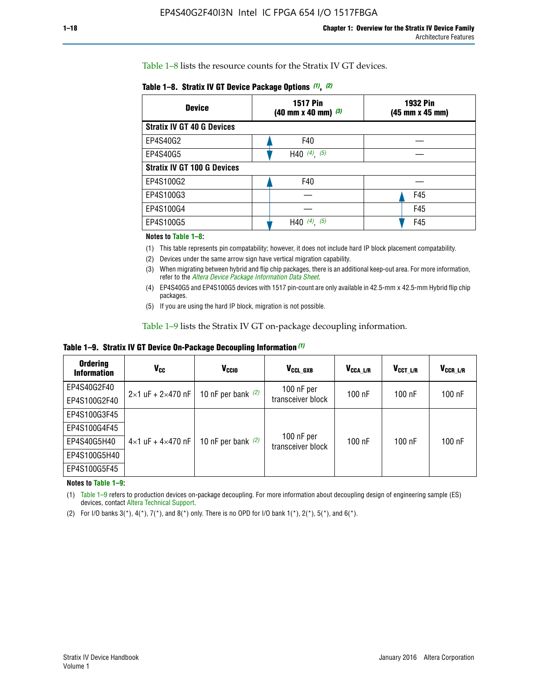Table 1–8 lists the resource counts for the Stratix IV GT devices.

| <b>Device</b>                      | <b>1517 Pin</b><br><b>1932 Pin</b><br>$(40 \text{ mm} \times 40 \text{ mm})$ $(3)$<br>(45 mm x 45 mm) |     |  |
|------------------------------------|-------------------------------------------------------------------------------------------------------|-----|--|
| <b>Stratix IV GT 40 G Devices</b>  |                                                                                                       |     |  |
| EP4S40G2                           | F40                                                                                                   |     |  |
| EP4S40G5                           | H40 $(4)$ , $(5)$                                                                                     |     |  |
| <b>Stratix IV GT 100 G Devices</b> |                                                                                                       |     |  |
| EP4S100G2                          | F40                                                                                                   |     |  |
| EP4S100G3                          |                                                                                                       | F45 |  |
| EP4S100G4                          |                                                                                                       | F45 |  |
| EP4S100G5                          | $(4)$ , $(5)$<br>H40                                                                                  | F45 |  |

#### **Notes to Table 1–8:**

(1) This table represents pin compatability; however, it does not include hard IP block placement compatability.

- (2) Devices under the same arrow sign have vertical migration capability.
- (3) When migrating between hybrid and flip chip packages, there is an additional keep-out area. For more information, refer to the *[Altera Device Package Information Data Sheet](http://www.altera.com/literature/ds/dspkg.pdf)*.
- (4) EP4S40G5 and EP4S100G5 devices with 1517 pin-count are only available in 42.5-mm x 42.5-mm Hybrid flip chip packages.
- (5) If you are using the hard IP block, migration is not possible.

Table 1–9 lists the Stratix IV GT on-package decoupling information.

**Table 1–9. Stratix IV GT Device On-Package Decoupling Information** *(1)*

| <b>Ordering</b><br><b>Information</b> | Vcc                                 | <b>V<sub>CCIO</sub></b> | V <sub>CCL GXB</sub>            | V <sub>CCA L/R</sub> | V <sub>CCT L/R</sub> | $V_{CCR\_L/R}$ |
|---------------------------------------|-------------------------------------|-------------------------|---------------------------------|----------------------|----------------------|----------------|
| EP4S40G2F40                           | $2 \times 1$ uF + $2 \times 470$ nF | 10 nF per bank $(2)$    | 100 nF per<br>transceiver block | $100$ nF             | $100$ nF             | $100$ nF       |
| EP4S100G2F40                          |                                     |                         |                                 |                      |                      |                |
| EP4S100G3F45                          |                                     | 10 nF per bank $(2)$    | 100 nF per<br>transceiver block | $100$ nF             | $100$ nF             | $100$ nF       |
| EP4S100G4F45                          |                                     |                         |                                 |                      |                      |                |
| EP4S40G5H40                           | $4\times1$ uF + $4\times470$ nF     |                         |                                 |                      |                      |                |
| EP4S100G5H40                          |                                     |                         |                                 |                      |                      |                |
| EP4S100G5F45                          |                                     |                         |                                 |                      |                      |                |

**Notes to Table 1–9:**

(1) Table 1–9 refers to production devices on-package decoupling. For more information about decoupling design of engineering sample (ES) devices, contact [Altera Technical Support](http://mysupport.altera.com/eservice/login.asp).

(2) For I/O banks  $3(*)$ ,  $4(*)$ ,  $7(*)$ , and  $8(*)$  only. There is no OPD for I/O bank  $1(*)$ ,  $2(*)$ ,  $5(*)$ , and  $6(*)$ .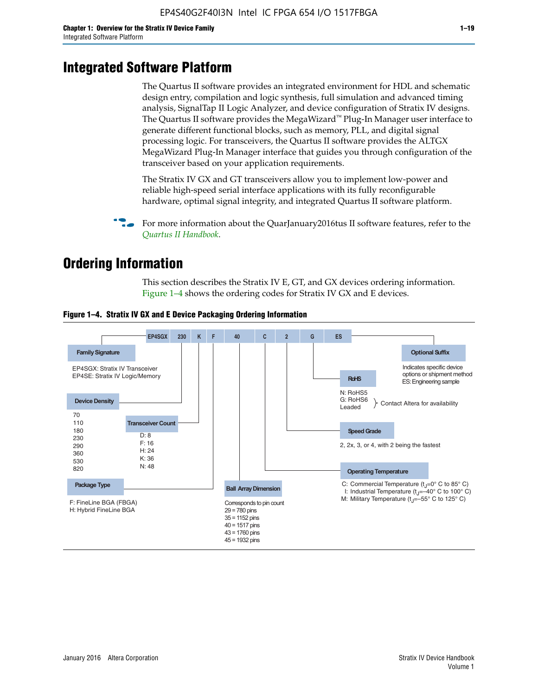# **Integrated Software Platform**

The Quartus II software provides an integrated environment for HDL and schematic design entry, compilation and logic synthesis, full simulation and advanced timing analysis, SignalTap II Logic Analyzer, and device configuration of Stratix IV designs. The Quartus II software provides the MegaWizard<sup> $M$ </sup> Plug-In Manager user interface to generate different functional blocks, such as memory, PLL, and digital signal processing logic. For transceivers, the Quartus II software provides the ALTGX MegaWizard Plug-In Manager interface that guides you through configuration of the transceiver based on your application requirements.

The Stratix IV GX and GT transceivers allow you to implement low-power and reliable high-speed serial interface applications with its fully reconfigurable hardware, optimal signal integrity, and integrated Quartus II software platform.

For more information about the QuarJanuary2016tus II software features, refer to the *[Quartus II Handbook](http://www.altera.com/literature/lit-qts.jsp)*.

# **Ordering Information**

This section describes the Stratix IV E, GT, and GX devices ordering information. Figure 1–4 shows the ordering codes for Stratix IV GX and E devices.



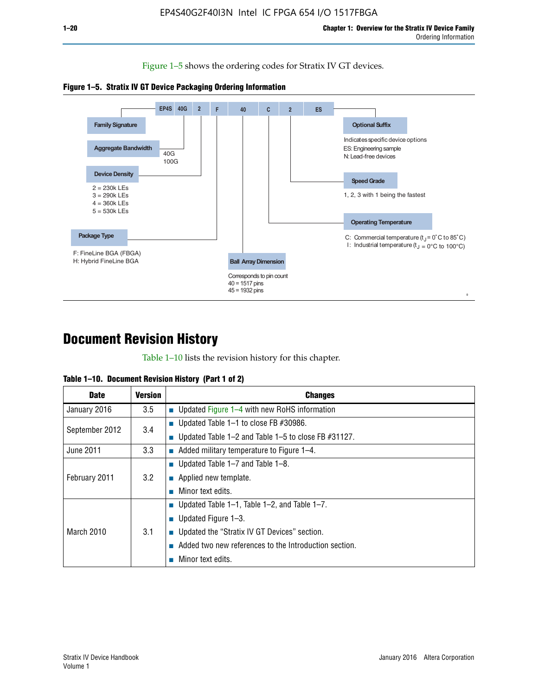Figure 1–5 shows the ordering codes for Stratix IV GT devices.





# **Document Revision History**

Table 1–10 lists the revision history for this chapter.

|  | Table 1–10. Document Revision History (Part 1 of 2) |  |  |
|--|-----------------------------------------------------|--|--|
|--|-----------------------------------------------------|--|--|

| <b>Date</b>       | <b>Version</b> | <b>Changes</b>                                           |
|-------------------|----------------|----------------------------------------------------------|
| January 2016      | 3.5            | <b>Updated Figure 1–4 with new RoHS information</b>      |
| September 2012    | 3.4            | ■ Updated Table 1–1 to close FB $#30986$ .               |
|                   |                | Updated Table 1–2 and Table 1–5 to close FB #31127.      |
| June 2011         | 3.3            | $\blacksquare$ Added military temperature to Figure 1–4. |
| February 2011     | 3.2            | ■ Updated Table 1–7 and Table 1–8.                       |
|                   |                | $\blacksquare$ Applied new template.                     |
|                   |                | Minor text edits.                                        |
| <b>March 2010</b> | 3.1            | ■ Updated Table 1–1, Table 1–2, and Table 1–7.           |
|                   |                | ■ Updated Figure $1-3$ .                                 |
|                   |                | Updated the "Stratix IV GT Devices" section.             |
|                   |                | Added two new references to the Introduction section.    |
|                   |                | Minor text edits.                                        |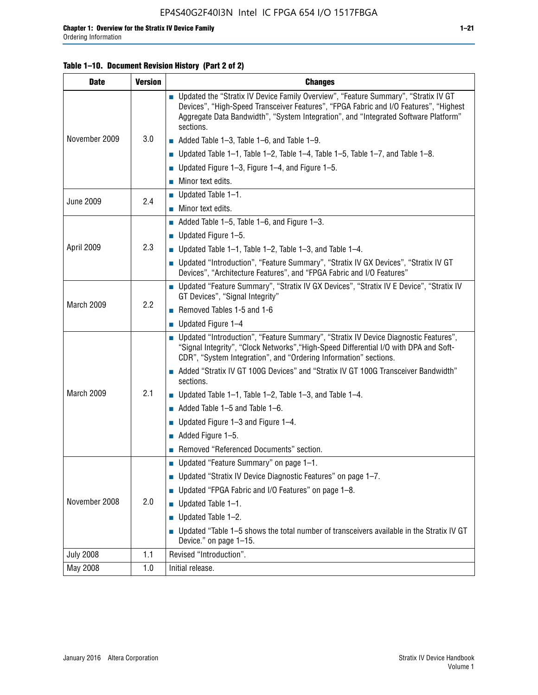#### **Table 1–10. Document Revision History (Part 2 of 2)**

| <b>Date</b>      | <b>Version</b> | <b>Changes</b>                                                                                                                                                                                                                                                                    |  |
|------------------|----------------|-----------------------------------------------------------------------------------------------------------------------------------------------------------------------------------------------------------------------------------------------------------------------------------|--|
| November 2009    | 3.0            | ■ Updated the "Stratix IV Device Family Overview", "Feature Summary", "Stratix IV GT<br>Devices", "High-Speed Transceiver Features", "FPGA Fabric and I/O Features", "Highest<br>Aggregate Data Bandwidth", "System Integration", and "Integrated Software Platform"<br>sections. |  |
|                  |                | $\blacksquare$ Added Table 1-3, Table 1-6, and Table 1-9.                                                                                                                                                                                                                         |  |
|                  |                | $\blacksquare$ Updated Table 1-1, Table 1-2, Table 1-4, Table 1-5, Table 1-7, and Table 1-8.                                                                                                                                                                                      |  |
|                  |                | ■ Updated Figure 1–3, Figure 1–4, and Figure 1–5.                                                                                                                                                                                                                                 |  |
|                  |                | $\blacksquare$ Minor text edits.                                                                                                                                                                                                                                                  |  |
|                  | 2.4            | $\blacksquare$ Updated Table 1-1.                                                                                                                                                                                                                                                 |  |
| <b>June 2009</b> |                | $\blacksquare$ Minor text edits.                                                                                                                                                                                                                                                  |  |
|                  |                | $\blacksquare$ Added Table 1–5, Table 1–6, and Figure 1–3.                                                                                                                                                                                                                        |  |
|                  |                | $\blacksquare$ Updated Figure 1-5.                                                                                                                                                                                                                                                |  |
| April 2009       | 2.3            | Updated Table $1-1$ , Table $1-2$ , Table $1-3$ , and Table $1-4$ .                                                                                                                                                                                                               |  |
|                  |                | ■ Updated "Introduction", "Feature Summary", "Stratix IV GX Devices", "Stratix IV GT<br>Devices", "Architecture Features", and "FPGA Fabric and I/O Features"                                                                                                                     |  |
| March 2009       | 2.2            | ■ Updated "Feature Summary", "Stratix IV GX Devices", "Stratix IV E Device", "Stratix IV<br>GT Devices", "Signal Integrity"                                                                                                                                                       |  |
|                  |                | Removed Tables 1-5 and 1-6                                                                                                                                                                                                                                                        |  |
|                  |                | $\blacksquare$ Updated Figure 1-4                                                                                                                                                                                                                                                 |  |
|                  |                | ■ Updated "Introduction", "Feature Summary", "Stratix IV Device Diagnostic Features",<br>"Signal Integrity", "Clock Networks", "High-Speed Differential I/O with DPA and Soft-<br>CDR", "System Integration", and "Ordering Information" sections.                                |  |
|                  |                | Added "Stratix IV GT 100G Devices" and "Stratix IV GT 100G Transceiver Bandwidth"<br>sections.                                                                                                                                                                                    |  |
| March 2009       | 2.1            | ■ Updated Table 1–1, Table 1–2, Table 1–3, and Table 1–4.                                                                                                                                                                                                                         |  |
|                  |                | $\blacksquare$ Added Table 1–5 and Table 1–6.                                                                                                                                                                                                                                     |  |
|                  |                | ■ Updated Figure 1–3 and Figure 1–4.                                                                                                                                                                                                                                              |  |
|                  |                | $\blacksquare$ Added Figure 1-5.                                                                                                                                                                                                                                                  |  |
|                  |                | Removed "Referenced Documents" section.                                                                                                                                                                                                                                           |  |
|                  |                | Updated "Feature Summary" on page 1-1.                                                                                                                                                                                                                                            |  |
| November 2008    |                | ■ Updated "Stratix IV Device Diagnostic Features" on page 1-7.                                                                                                                                                                                                                    |  |
|                  | 2.0            | ■ Updated "FPGA Fabric and I/O Features" on page 1-8.                                                                                                                                                                                                                             |  |
|                  |                | $\blacksquare$ Updated Table 1-1.                                                                                                                                                                                                                                                 |  |
|                  |                | Updated Table 1-2.<br>П                                                                                                                                                                                                                                                           |  |
|                  |                | Updated "Table 1-5 shows the total number of transceivers available in the Stratix IV GT<br>Device." on page 1-15.                                                                                                                                                                |  |
| <b>July 2008</b> | 1.1            | Revised "Introduction".                                                                                                                                                                                                                                                           |  |
| May 2008         | 1.0            | Initial release.                                                                                                                                                                                                                                                                  |  |